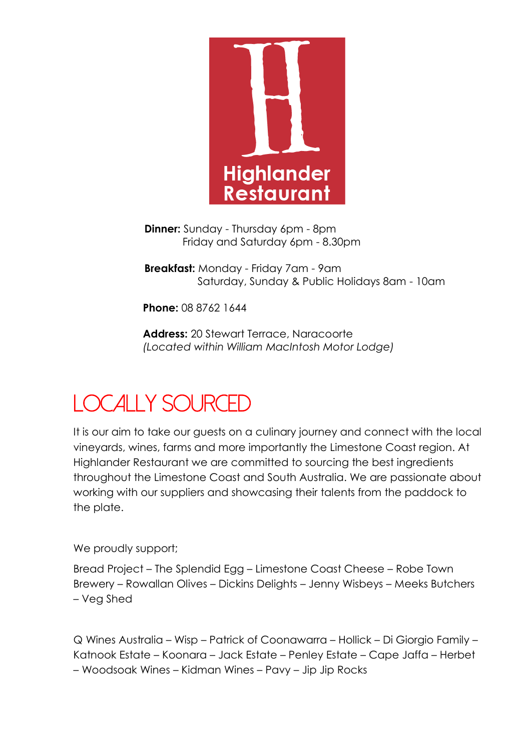

**Dinner:** Sunday - Thursday 6pm - 8pm Friday and Saturday 6pm - 8.30pm

**Breakfast:** Monday - Friday 7am - 9am Saturday, Sunday & Public Holidays 8am - 10am

**Phone:** 08 8762 1644

**Address:** 20 Stewart Terrace, Naracoorte *(Located within William MacIntosh Motor Lodge)*

# *LoCally SourCeD*

It is our aim to take our guests on a culinary journey and connect with the local vineyards, wines, farms and more importantly the Limestone Coast region. At Highlander Restaurant we are committed to sourcing the best ingredients throughout the Limestone Coast and South Australia. We are passionate about working with our suppliers and showcasing their talents from the paddock to the plate.

We proudly support;

Bread Project – The Splendid Egg – Limestone Coast Cheese – Robe Town Brewery – Rowallan Olives – Dickins Delights – Jenny Wisbeys – Meeks Butchers – Veg Shed

Q Wines Australia – Wisp – Patrick of Coonawarra – Hollick – Di Giorgio Family – Katnook Estate – Koonara – Jack Estate – Penley Estate – Cape Jaffa – Herbet – Woodsoak Wines – Kidman Wines – Pavy – Jip Jip Rocks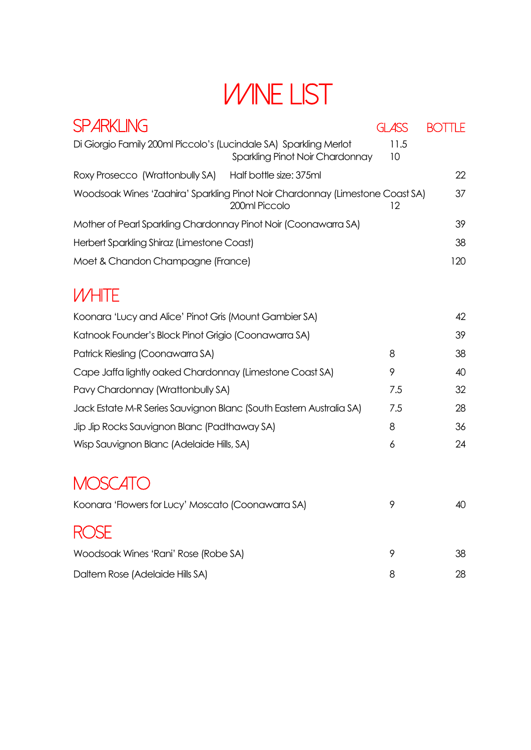# *Wine List*

| <b>SPARKLING</b>                                                              |                                 | <b>GLASS</b> | <b>BOTTLE</b> |
|-------------------------------------------------------------------------------|---------------------------------|--------------|---------------|
| Di Giorgio Family 200ml Piccolo's (Lucindale SA) Sparkling Merlot             | Sparkling Pinot Noir Chardonnay | 11.5<br>10   |               |
| Roxy Prosecco (Wrattonbully SA)                                               | Half bottle size: 375ml         |              | 22            |
| Woodsoak Wines 'Zaahira' Sparkling Pinot Noir Chardonnay (Limestone Coast SA) | 200ml Piccolo                   | 12           | 37            |
| Mother of Pearl Sparkling Chardonnay Pinot Noir (Coonawarra SA)               |                                 |              | 39            |
| Herbert Sparkling Shiraz (Limestone Coast)                                    |                                 |              | 38            |
| Moet & Chandon Champagne (France)                                             |                                 |              | 120           |
| <b>WHITE</b>                                                                  |                                 |              |               |
| Koonara 'Lucy and Alice' Pinot Gris (Mount Gambier SA)                        |                                 |              | 42            |
| Katnook Founder's Block Pinot Grigio (Coonawarra SA)                          |                                 |              | 39            |
| Patrick Riesling (Coonawarra SA)                                              |                                 | 8            | 38            |
| Cape Jaffa lightly oaked Chardonnay (Limestone Coast SA)                      |                                 | 9            | 40            |
| Pavy Chardonnay (Wrattonbully SA)                                             |                                 | 7.5          | 32            |
| Jack Estate M-R Series Sauvignon Blanc (South Eastern Australia SA)           |                                 | 7.5          | 28            |
| Jip Jip Rocks Sauvignon Blanc (Padthaway SA)                                  |                                 | 8            | 36            |
| Wisp Sauvignon Blanc (Adelaide Hills, SA)                                     |                                 | 6            | 24            |
| <b>MOSCATO</b>                                                                |                                 |              |               |
| Koonara 'Flowers for Lucy' Moscato (Coonawarra SA)                            |                                 | 9            | 40            |
|                                                                               |                                 |              |               |
| Woodsoak Wines 'Rani' Rose (Robe SA)                                          |                                 | 9            | 38            |

Daltem Rose (Adelaide Hills SA) 8 28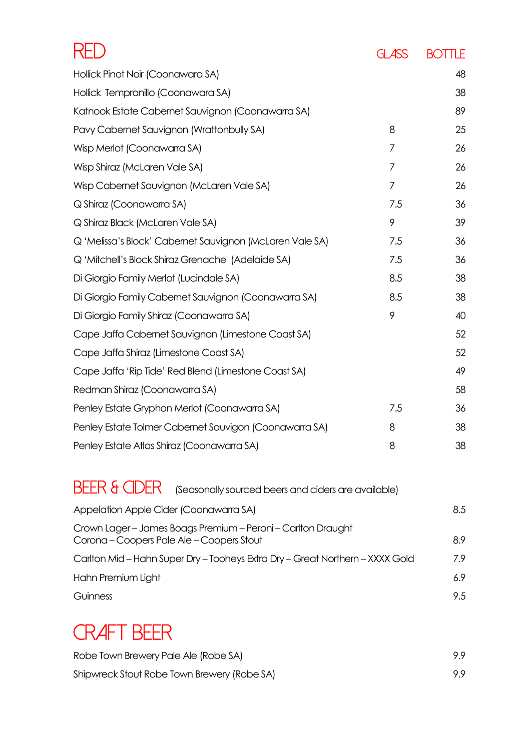|                                                                     | GLASS          | <b>BOTTLE</b> |
|---------------------------------------------------------------------|----------------|---------------|
| Hollick Pinot Noir (Coonawara SA)                                   |                | 48            |
| Hollick Tempranillo (Coonawara SA)                                  |                | 38            |
| Katnook Estate Cabernet Sauvignon (Coonawarra SA)                   |                | 89            |
| Pavy Cabernet Sauvignon (Wrattonbully SA)                           | 8              | 25            |
| Wisp Merlot (Coonawarra SA)                                         | 7              | 26            |
| Wisp Shiraz (McLaren Vale SA)                                       | $\overline{7}$ | 26            |
| Wisp Cabernet Sauvignon (McLaren Vale SA)                           | 7              | 26            |
| Q Shiraz (Coonawarra SA)                                            | 7.5            | 36            |
| Q Shiraz Black (McLaren Vale SA)                                    | 9              | 39            |
| Q 'Melissa's Block' Cabernet Sauvignon (McLaren Vale SA)            | 7.5            | 36            |
| Q 'Mitchell's Block Shiraz Grenache (Adelaide SA)                   | 7.5            | 36            |
| Di Giorgio Family Merlot (Lucindale SA)                             | 8.5            | 38            |
| Di Giorgio Family Cabernet Sauvignon (Coonawarra SA)                | 8.5            | 38            |
| Di Giorgio Family Shiraz (Coonawarra SA)                            | 9              | 40            |
| Cape Jaffa Cabernet Sauvignon (Limestone Coast SA)                  |                | 52            |
| Cape Jaffa Shiraz (Limestone Coast SA)                              |                | 52            |
| Cape Jaffa 'Rip Tide' Red Blend (Limestone Coast SA)                |                | 49            |
| Redman Shiraz (Coonawarra SA)                                       |                | 58            |
| Penley Estate Gryphon Merlot (Coonawarra SA)                        | 7.5            | 36            |
| Penley Estate Tolmer Cabernet Sauvigon (Coonawarra SA)              | 8              | 38            |
| Penley Estate Atlas Shiraz (Coonawarra SA)                          | 8              | 38            |
| BFFR & CIDFR<br>(Seasonally sourced beers and ciders are available) |                |               |

| Appelation Apple Cider (Coonawarra SA)                                                                    | 8.5 |
|-----------------------------------------------------------------------------------------------------------|-----|
| Crown Lager - James Boags Premium - Peroni - Carlton Draught<br>Corona - Coopers Pale Ale - Coopers Stout | 8.9 |
| Carlton Mid – Hahn Super Dry – Tooheys Extra Dry – Great Northern – XXXX Gold                             | 7.9 |
| Hahn Premium Light                                                                                        | 6.9 |
| Guinness                                                                                                  | 9.5 |

## *Craft Beer*

| Robe Town Brewery Pale Ale (Robe SA)        | 99 |
|---------------------------------------------|----|
| Shipwreck Stout Robe Town Brewery (Robe SA) | 99 |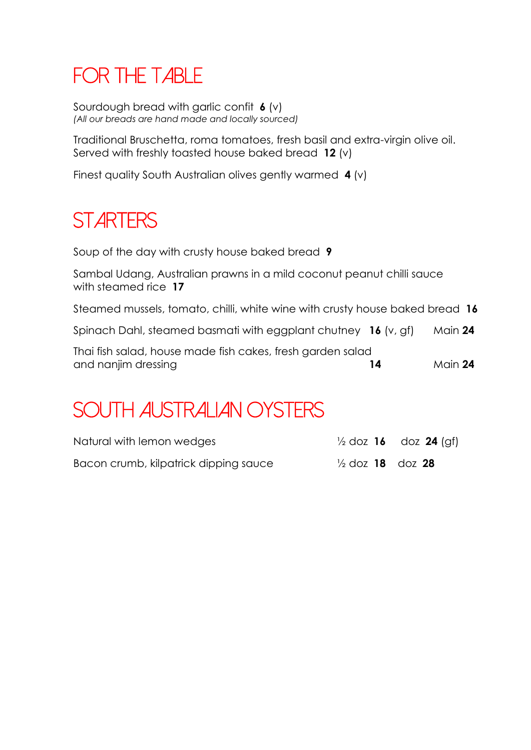# *For the Table*

Sourdough bread with garlic confit **6** (v) *(All our breads are hand made and locally sourced)*

Traditional Bruschetta, roma tomatoes, fresh basil and extra-virgin olive oil. Served with freshly toasted house baked bread **12** (v)

Finest quality South Australian olives gently warmed **4** (v)

## *Starters*

Soup of the day with crusty house baked bread **9**

Sambal Udang, Australian prawns in a mild coconut peanut chilli sauce with steamed rice **17**

Steamed mussels, tomato, chilli, white wine with crusty house baked bread **16**

Spinach Dahl, steamed basmati with eggplant chutney **16** (v, gf) Main **24**

| Thai fish salad, house made fish cakes, fresh garden salad |         |
|------------------------------------------------------------|---------|
| and nanjim dressing                                        | Main 24 |

## *South Australian Oysters*

| Natural with lemon wedges             |                                           | $\frac{1}{2}$ doz <b>16</b> doz <b>24</b> (gf) |
|---------------------------------------|-------------------------------------------|------------------------------------------------|
| Bacon crumb, kilpatrick dipping sauce | $\frac{1}{2}$ doz <b>18</b> doz <b>28</b> |                                                |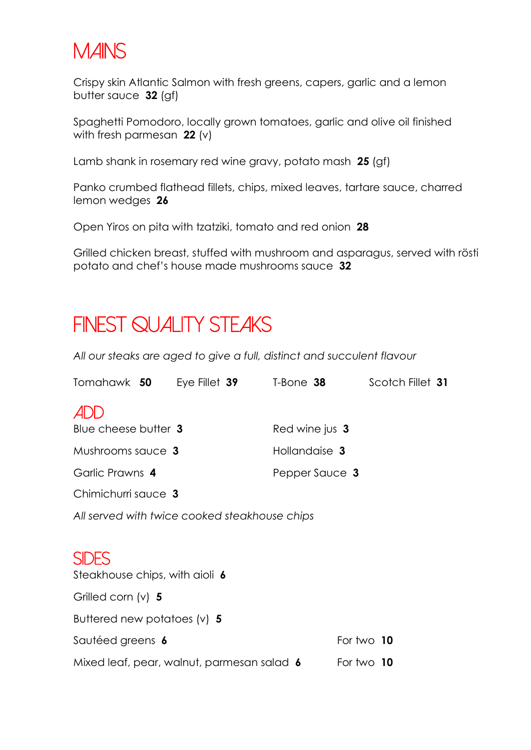#### *Mains*

Crispy skin Atlantic Salmon with fresh greens, capers, garlic and a lemon butter sauce **32** (gf)

Spaghetti Pomodoro, locally grown tomatoes, garlic and olive oil finished with fresh parmesan **22** (v)

Lamb shank in rosemary red wine gravy, potato mash **25** (gf)

Panko crumbed flathead fillets, chips, mixed leaves, tartare sauce, charred lemon wedges **26**

Open Yiros on pita with tzatziki, tomato and red onion **28**

Grilled chicken breast, stuffed with mushroom and asparagus, served with rösti potato and chef's house made mushrooms sauce **32**

#### *Finest Quality Steaks*

*All our steaks are aged to give a full, distinct and succulent flavour*

| Tomahawk 50                                   | Eye Fillet $39$                            | T-Bone 38      | Scotch Fillet 31 |
|-----------------------------------------------|--------------------------------------------|----------------|------------------|
| ADD                                           |                                            |                |                  |
| Blue cheese butter 3                          |                                            | Red wine jus 3 |                  |
| Mushrooms sauce 3                             |                                            | Hollandaise 3  |                  |
| Garlic Prawns 4                               |                                            | Pepper Sauce 3 |                  |
| Chimichurri sauce 3                           |                                            |                |                  |
| All served with twice cooked steakhouse chips |                                            |                |                  |
|                                               |                                            |                |                  |
| <b>SIDES</b>                                  |                                            |                |                  |
| Steakhouse chips, with aioli 6                |                                            |                |                  |
| Grilled corn $(v)$ 5                          |                                            |                |                  |
| Buttered new potatoes $(v)$ 5                 |                                            |                |                  |
| Sautéed greens 6                              |                                            |                | For two 10       |
|                                               | Mixed leaf, pear, walnut, parmesan salad 6 |                | For two 10       |